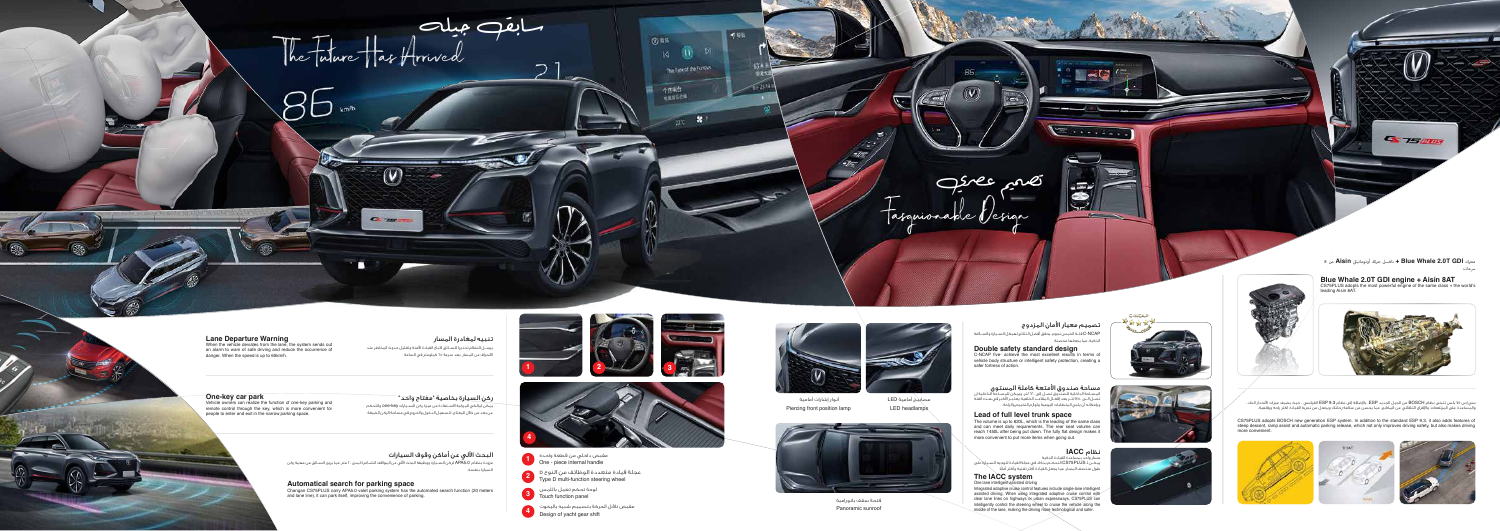Fasguionable Design

**Double safety standard design** C-NCAP five- achieve the most excellent results in terms of vehicle body structure or intelligent safety protection, creating a safer fortress of action.

**مـببـاحـة صـنــد وق الامـتحـة كامـلـة المـببـتـوى**<br>المســاحة الداخلية للصندوق تصــل إلى ٦٢٠ لتر، ويمكن للمســاحة الداخلية ان<br>تصــل الــى ١٤٥٠ لتــر بعد إقفــال المقاعــد الخلفية. يعتبــر الأخبر في هــذه الفئة



of the silvania

attac  $\Rightarrow$ احت

> CS75PLUS adopts BOSCH new generation ESP system. In addition to the standard ESP 9.3, it also adds features of steep descent, ramp assist and automatic parking release, which not only improves driving safety, but also makes driving more convenient





سي إس ٧٥ بلس تتبنى نظام BOSCH من الجيل الجديد ESP. باضافة إلى نظام 9.3 ESP القياسي ، حيث يضيف ميزات انحدار الحاد، والمساعدة على المرتفعات، وافراج التلقائي عن المكابح، مما يحسن من سلامة رحلتك ويجعل من تجربة القيادة اكثر راحة ورفاهية.

One lane intelligent assisted driving Integrated adaptive cruise control features include single-lane intelligent assisted driving. When using integrated adaptive cruise control with clear lane lines on highways or urban expressways, CS75PLUS can intelligently control the steering wheel to cruise the vehicle along the middle of the lane, making the driving more technological and safer.



C-NCAP







**محرك GDI T2.0 Whale Blue + ناقـــل حركة أوتوماتي Aisin من 8 عات**

**SET TEMPER** 

**Blue Whale 2.0T GDI engine + Aisin 8AT** CS75PLUS adopts the most powerful engine of the same class + the world's leading Aisin 8AT.



مسار واحد بمساعدة القيادة الذكية نظام **IACC** يمكـــن لـ PLUS75CS التحكـــم بذكاء في عجلة القيادة لتوجيه الســـيارة على ً طول منتصف المسار، مما يجعل القيادة أكثر تقنية وأكثر أمانا.

## **The IACC system**

يرســل النظام تحذيرا للســائق لاتباع القيادة الأمنة وتقليل حدوث المخاطر عند الانحراف عن المسار. بعد سرعة 65 كيلومتر في الساعة.

**ركن الـسـيارة بخاصيـة "مفتاح واحد "**<br>يمكن لمالكي المركبة الاسـتفادة من ميزة ركن السـيارات one-key والتحكم عن بعد من خلال المفتاح، لتسهيل الدخول والخروج في مساحة الركن الضيقة.

**البحث الآلـي عـن أمـاكـن وقوف الـسيارة الت**<br>مزودة بنظام APA5.0 لركن الســـيارة ووظيفة البحث الألي عن المواقف الشــاغرة لمدى · r متر. مما يريح الســائق من مهمة ركن



وبإمكانه أن يلبي المتطلبات اليومية ولوازم التخييم والراحة.

**Lead of full level trunk space** The volume is up to 620L, which is the leading of the same class and can meet daily requirements. The rear seat volume can reach 1450L after being put down. The fully flat design makes it more convenient to put more items when going out.





Piercing front position lamp





**2** Type D multi-function steering wheel عجلة قيادة متعددة الوظائف من النوع <sup>D</sup>



**3** Touch function panel لوحة تحكم تعمل باللمس





LED headlamps مصابيح أمامية LED



Panoramic sunroof فتحة سقف بانورامية



تنبيه لمغادرة المسار



When the vehicle deviates from the lane, the system sends out an alarm to warn of safe driving and reduce the occurrence of danger. When the speed is up to 65km/h.

**One-key car park** Vehicle owners can realize the function of one-key parking and remote control through the key, which is more convenient for people to enter and exit in the narrow parking space.

السيارة بنفسه.

**Automatical search for parking space**

Changan CS75PLUS carry APA5.0 valet parking system has the automated search function (20 meters and lane line), it can park itself, improving the convenience of parking.

تصميم عصري